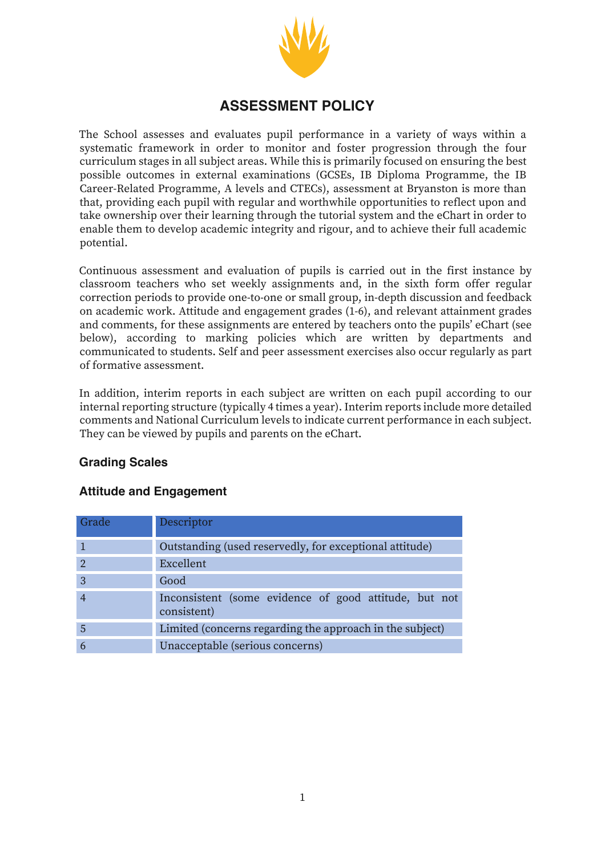

# **ASSESSMENT POLICY**

The School assesses and evaluates pupil performance in a variety of ways within a systematic framework in order to monitor and foster progression through the four curriculum stages in all subject areas. While this is primarily focused on ensuring the best possible outcomes in external examinations (GCSEs, IB Diploma Programme, the IB Career-Related Programme, A levels and CTECs), assessment at Bryanston is more than that, providing each pupil with regular and worthwhile opportunities to reflect upon and take ownership over their learning through the tutorial system and the eChart in order to enable them to develop academic integrity and rigour, and to achieve their full academic potential.

Continuous assessment and evaluation of pupils is carried out in the first instance by classroom teachers who set weekly assignments and, in the sixth form offer regular correction periods to provide one-to-one or small group, in-depth discussion and feedback on academic work. Attitude and engagement grades (1-6), and relevant attainment grades and comments, for these assignments are entered by teachers onto the pupils' eChart (see below), according to marking policies which are written by departments and communicated to students. Self and peer assessment exercises also occur regularly as part of formative assessment.

In addition, interim reports in each subject are written on each pupil according to our internal reporting structure (typically 4 times a year). Interim reports include more detailed comments and National Curriculum levels to indicate current performance in each subject. They can be viewed by pupils and parents on the eChart.

### **Grading Scales**

# **Attitude and Engagement**

| Grade         | Descriptor                                                           |  |  |  |
|---------------|----------------------------------------------------------------------|--|--|--|
|               | Outstanding (used reservedly, for exceptional attitude)              |  |  |  |
| $\mathcal{D}$ | Excellent                                                            |  |  |  |
| 3             | Good                                                                 |  |  |  |
|               | Inconsistent (some evidence of good attitude, but not<br>consistent) |  |  |  |
| 5             | Limited (concerns regarding the approach in the subject)             |  |  |  |
|               | Unacceptable (serious concerns)                                      |  |  |  |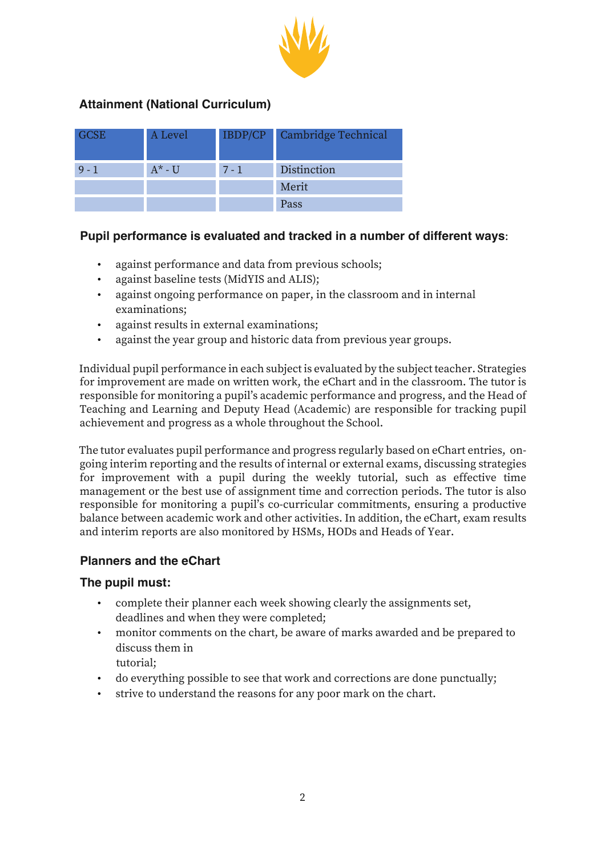

## **Attainment (National Curriculum)**

| <b>GCSE</b> | A Level   |         | IBDP/CP Cambridge Technical |
|-------------|-----------|---------|-----------------------------|
| $9 - 1$     | $A^*$ - U | $7 - 1$ | Distinction                 |
|             |           |         | Merit                       |
|             |           |         | Pass                        |

#### **Pupil performance is evaluated and tracked in a number of different ways**:

- against performance and data from previous schools;
- against baseline tests (MidYIS and ALIS);
- against ongoing performance on paper, in the classroom and in internal examinations;
- against results in external examinations;
- against the year group and historic data from previous year groups.

Individual pupil performance in each subject is evaluated by the subject teacher. Strategies for improvement are made on written work, the eChart and in the classroom. The tutor is responsible for monitoring a pupil's academic performance and progress, and the Head of Teaching and Learning and Deputy Head (Academic) are responsible for tracking pupil achievement and progress as a whole throughout the School.

The tutor evaluates pupil performance and progress regularly based on eChart entries, ongoing interim reporting and the results of internal or external exams, discussing strategies for improvement with a pupil during the weekly tutorial, such as effective time management or the best use of assignment time and correction periods. The tutor is also responsible for monitoring a pupil's co-curricular commitments, ensuring a productive balance between academic work and other activities. In addition, the eChart, exam results and interim reports are also monitored by HSMs, HODs and Heads of Year.

### **Planners and the eChart**

#### **The pupil must:**

- complete their planner each week showing clearly the assignments set, deadlines and when they were completed;
- monitor comments on the chart, be aware of marks awarded and be prepared to discuss them in
	- tutorial;
- do everything possible to see that work and corrections are done punctually;
- strive to understand the reasons for any poor mark on the chart.